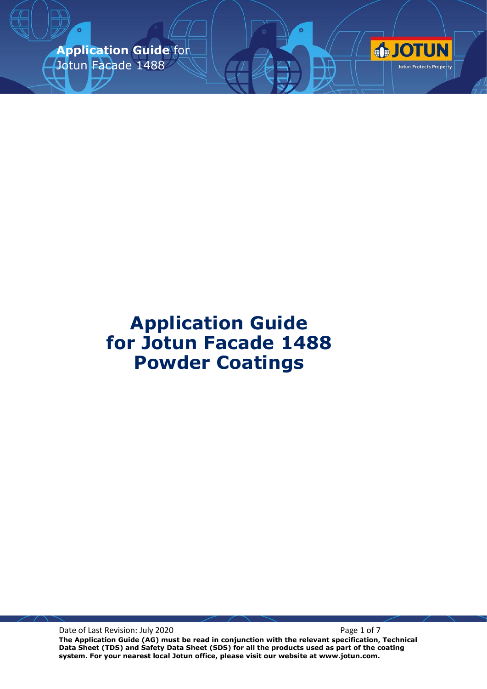**Application Guide** for Jotun Facade 1488



Date of Last Revision: July 2020 **Page 1 of 7** Page 1 of 7

**The Application Guide (AG) must be read in conjunction with the relevant specification, Technical Data Sheet (TDS) and Safety Data Sheet (SDS) for all the products used as part of the coating system. For your nearest local Jotun office, please visit our website at www.jotun.com.**

**OTUN** 

Jotun Protects Property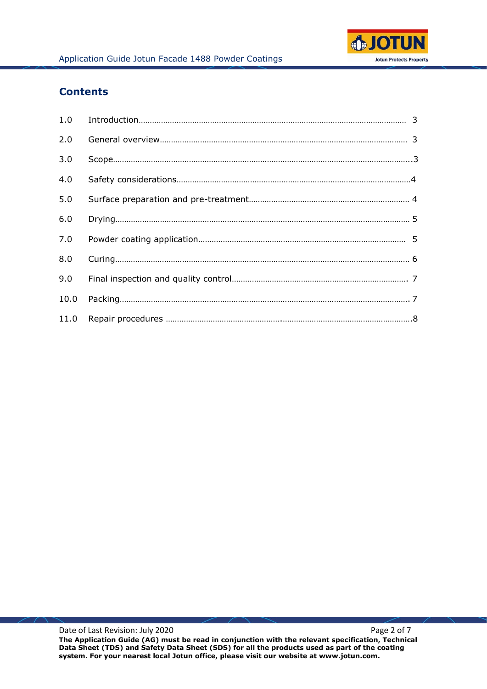

# **Contents**

| 2.0  |  |
|------|--|
| 3.0  |  |
| 4.0  |  |
| 5.0  |  |
| 6.0  |  |
| 7.0  |  |
| 8.0  |  |
| 9.0  |  |
| 10.0 |  |
|      |  |

Date of Last Revision: July 2020 **Page 2 of 7** Page 2 of 7 **The Application Guide (AG) must be read in conjunction with the relevant specification, Technical Data Sheet (TDS) and Safety Data Sheet (SDS) for all the products used as part of the coating system. For your nearest local Jotun office, please visit our website at www.jotun.com.**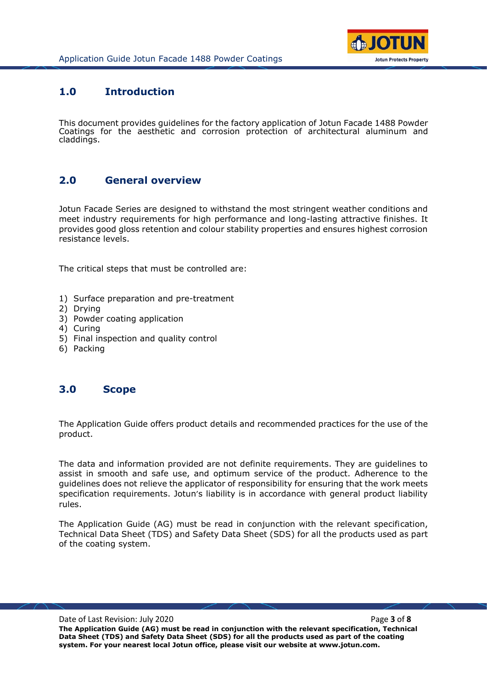

## **1.0 Introduction**

This document provides guidelines for the factory application of Jotun Facade 1488 Powder Coatings for the aesthetic and corrosion protection of architectural aluminum and claddings.

# **2.0 General overview**

Jotun Facade Series are designed to withstand the most stringent weather conditions and meet industry requirements for high performance and long-lasting attractive finishes. It provides good gloss retention and colour stability properties and ensures highest corrosion resistance levels.

The critical steps that must be controlled are:

- 1) Surface preparation and pre-treatment
- 2) Drying
- 3) Powder coating application
- 4) Curing
- 5) Final inspection and quality control
- 6) Packing

### **3.0 Scope**

The Application Guide offers product details and recommended practices for the use of the product.

The data and information provided are not definite requirements. They are guidelines to assist in smooth and safe use, and optimum service of the product. Adherence to the guidelines does not relieve the applicator of responsibility for ensuring that the work meets specification requirements. Jotun's liability is in accordance with general product liability rules.

The Application Guide (AG) must be read in conjunction with the relevant specification, Technical Data Sheet (TDS) and Safety Data Sheet (SDS) for all the products used as part of the coating system.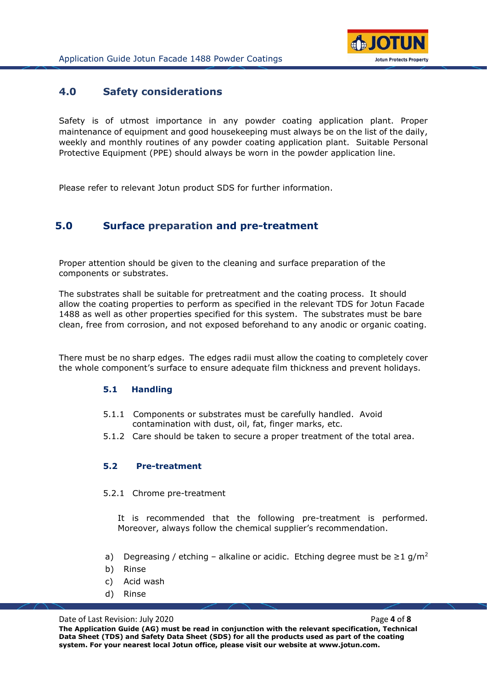

## **4.0 Safety considerations**

Safety is of utmost importance in any powder coating application plant. Proper maintenance of equipment and good housekeeping must always be on the list of the daily, weekly and monthly routines of any powder coating application plant. Suitable Personal Protective Equipment (PPE) should always be worn in the powder application line.

Please refer to relevant Jotun product SDS for further information.

## **5.0 Surface preparation and pre-treatment**

Proper attention should be given to the cleaning and surface preparation of the components or substrates.

The substrates shall be suitable for pretreatment and the coating process. It should allow the coating properties to perform as specified in the relevant TDS for Jotun Facade 1488 as well as other properties specified for this system. The substrates must be bare clean, free from corrosion, and not exposed beforehand to any anodic or organic coating.

There must be no sharp edges. The edges radii must allow the coating to completely cover the whole component's surface to ensure adequate film thickness and prevent holidays.

### **5.1 Handling**

- 5.1.1 Components or substrates must be carefully handled. Avoid contamination with dust, oil, fat, finger marks, etc.
- 5.1.2 Care should be taken to secure a proper treatment of the total area.

### **5.2 Pre-treatment**

#### 5.2.1 Chrome pre-treatment

It is recommended that the following pre-treatment is performed. Moreover, always follow the chemical supplier's recommendation.

- a) Degreasing / etching alkaline or acidic. Etching degree must be  $\geq 1$  g/m<sup>2</sup>
- b) Rinse
- c) Acid wash
- d) Rinse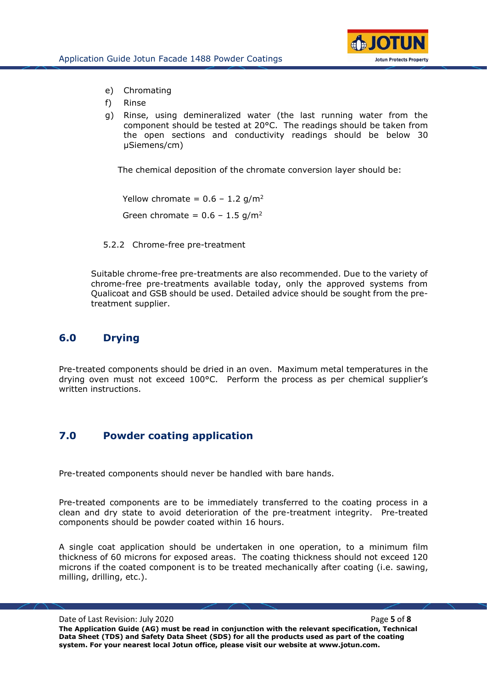

- e) Chromating
- f) Rinse
- g) Rinse, using demineralized water (the last running water from the component should be tested at 20°C. The readings should be taken from the open sections and conductivity readings should be below 30 µSiemens/cm)

The chemical deposition of the chromate conversion layer should be:

Yellow chromate =  $0.6 - 1.2$  g/m<sup>2</sup> Green chromate =  $0.6 - 1.5$  g/m<sup>2</sup>

5.2.2 Chrome-free pre-treatment

Suitable chrome-free pre-treatments are also recommended. Due to the variety of chrome-free pre-treatments available today, only the approved systems from Qualicoat and GSB should be used. Detailed advice should be sought from the pretreatment supplier.

## **6.0 Drying**

Pre-treated components should be dried in an oven. Maximum metal temperatures in the drying oven must not exceed 100°C. Perform the process as per chemical supplier's written instructions.

# **7.0 Powder coating application**

Pre-treated components should never be handled with bare hands.

Pre-treated components are to be immediately transferred to the coating process in a clean and dry state to avoid deterioration of the pre-treatment integrity. Pre-treated components should be powder coated within 16 hours.

A single coat application should be undertaken in one operation, to a minimum film thickness of 60 microns for exposed areas. The coating thickness should not exceed 120 microns if the coated component is to be treated mechanically after coating (i.e. sawing, milling, drilling, etc.).

Date of Last Revision: July 2020 **Page 1 and Allen the Contract Page 1 and Page 5** of **8 Page 5** of **8 The Application Guide (AG) must be read in conjunction with the relevant specification, Technical Data Sheet (TDS) and Safety Data Sheet (SDS) for all the products used as part of the coating system. For your nearest local Jotun office, please visit our website at www.jotun.com.**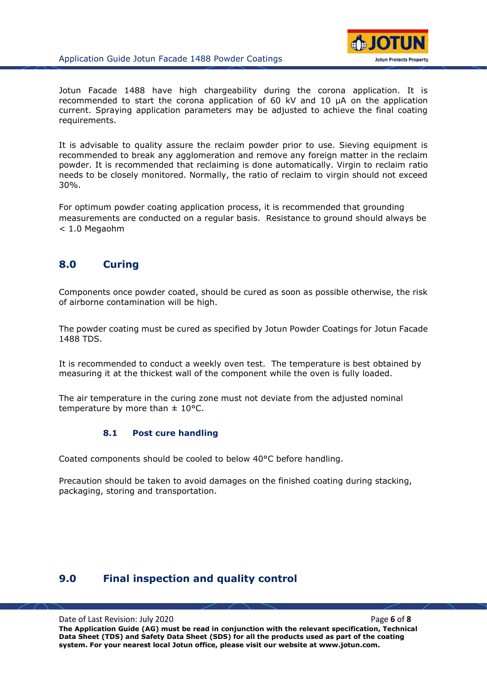

Jotun Facade 1488 have high chargeability during the corona application. It is recommended to start the corona application of 60 kV and 10 µA on the application current. Spraying application parameters may be adjusted to achieve the final coating requirements.

It is advisable to quality assure the reclaim powder prior to use. Sieving equipment is recommended to break any agglomeration and remove any foreign matter in the reclaim powder. It is recommended that reclaiming is done automatically. Virgin to reclaim ratio needs to be closely monitored. Normally, the ratio of reclaim to virgin should not exceed 30%.

For optimum powder coating application process, it is recommended that grounding measurements are conducted on a regular basis. Resistance to ground should always be < 1.0 Megaohm

# **8.0 Curing**

Components once powder coated, should be cured as soon as possible otherwise, the risk of airborne contamination will be high.

The powder coating must be cured as specified by Jotun Powder Coatings for Jotun Facade 1488 TDS.

It is recommended to conduct a weekly oven test. The temperature is best obtained by measuring it at the thickest wall of the component while the oven is fully loaded.

The air temperature in the curing zone must not deviate from the adjusted nominal temperature by more than  $\pm$  10°C.

### **8.1 Post cure handling**

Coated components should be cooled to below 40°C before handling.

Precaution should be taken to avoid damages on the finished coating during stacking, packaging, storing and transportation.

### **9.0 Final inspection and quality control**

Date of Last Revision: July 2020 Page **6** of **8**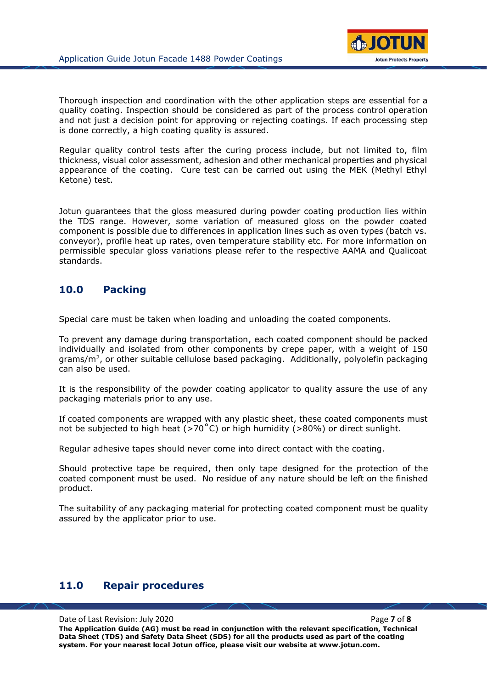

Thorough inspection and coordination with the other application steps are essential for a quality coating. Inspection should be considered as part of the process control operation and not just a decision point for approving or rejecting coatings. If each processing step is done correctly, a high coating quality is assured.

Regular quality control tests after the curing process include, but not limited to, film thickness, visual color assessment, adhesion and other mechanical properties and physical appearance of the coating. Cure test can be carried out using the MEK (Methyl Ethyl Ketone) test.

Jotun guarantees that the gloss measured during powder coating production lies within the TDS range. However, some variation of measured gloss on the powder coated component is possible due to differences in application lines such as oven types (batch vs. conveyor), profile heat up rates, oven temperature stability etc. For more information on permissible specular gloss variations please refer to the respective AAMA and Qualicoat standards.

# **10.0 Packing**

Special care must be taken when loading and unloading the coated components.

To prevent any damage during transportation, each coated component should be packed individually and isolated from other components by crepe paper, with a weight of 150 grams/m<sup>2</sup>, or other suitable cellulose based packaging. Additionally, polyolefin packaging can also be used.

It is the responsibility of the powder coating applicator to quality assure the use of any packaging materials prior to any use.

If coated components are wrapped with any plastic sheet, these coated components must not be subjected to high heat ( $>70^{\circ}$ C) or high humidity ( $>80\%$ ) or direct sunlight.

Regular adhesive tapes should never come into direct contact with the coating.

Should protective tape be required, then only tape designed for the protection of the coated component must be used. No residue of any nature should be left on the finished product.

The suitability of any packaging material for protecting coated component must be quality assured by the applicator prior to use.

# **11.0 Repair procedures**

Date of Last Revision: July 2020 **Page 7** of **8 Page 7** of **8 The Application Guide (AG) must be read in conjunction with the relevant specification, Technical Data Sheet (TDS) and Safety Data Sheet (SDS) for all the products used as part of the coating system. For your nearest local Jotun office, please visit our website at www.jotun.com.**